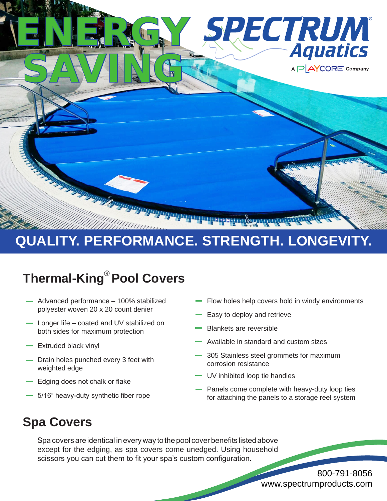

## **QUALITY. PERFORMANCE. STRENGTH. LONGEVITY.**

## **Thermal-King® Pool Covers**

- Advanced performance 100% stabilized polyester woven 20 x 20 count denier
- Longer life coated and UV stabilized on both sides for maximum protection
- Extruded black vinyl
- Drain holes punched every 3 feet with weighted edge
- Edging does not chalk or flake
- 5/16" heavy-duty synthetic fiber rope
- Flow holes help covers hold in windy environments
- Easy to deploy and retrieve
- Blankets are reversible
- Available in standard and custom sizes
- 305 Stainless steel grommets for maximum corrosion resistance
- **UV** inhibited loop tie handles
- Panels come complete with heavy-duty loop ties for attaching the panels to a storage reel system

### **Spa Covers**

Spa covers are identical in every way to the pool cover benefits listed above except for the edging, as spa covers come unedged. Using household scissors you can cut them to fit your spa's custom configuration.

> 800-791-8056 www.spectrumproducts.com